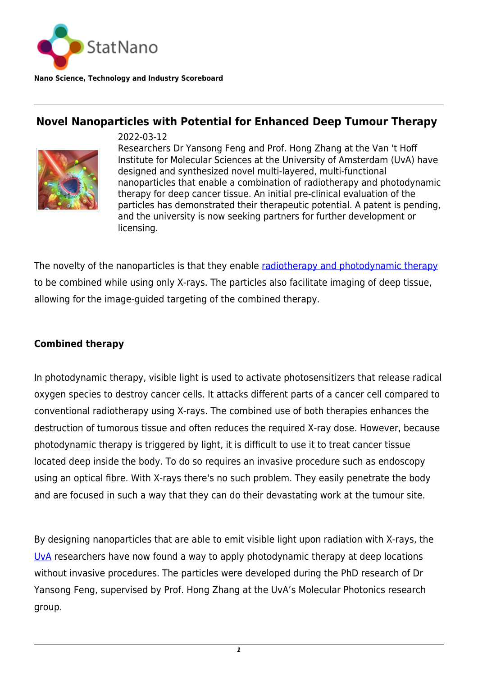

**Nano Science, Technology and Industry Scoreboard**

# **Novel Nanoparticles with Potential for Enhanced Deep Tumour Therapy**



2022-03-12 Researchers Dr Yansong Feng and Prof. Hong Zhang at the Van 't Hoff Institute for Molecular Sciences at the University of Amsterdam (UvA) have designed and synthesized novel multi-layered, multi-functional nanoparticles that enable a combination of radiotherapy and photodynamic therapy for deep cancer tissue. An initial pre-clinical evaluation of the particles has demonstrated their therapeutic potential. A patent is pending, and the university is now seeking partners for further development or licensing.

The novelty of the nanoparticles is that they enable [radiotherapy and photodynamic therapy](https://pubs.rsc.org/en/content/articlelanding/2022/TC/D1TC04930E) to be combined while using only X-rays. The particles also facilitate imaging of deep tissue, allowing for the image-guided targeting of the combined therapy.

## **Combined therapy**

In photodynamic therapy, visible light is used to activate photosensitizers that release radical oxygen species to destroy cancer cells. It attacks different parts of a cancer cell compared to conventional radiotherapy using X-rays. The combined use of both therapies enhances the destruction of tumorous tissue and often reduces the required X-ray dose. However, because photodynamic therapy is triggered by light, it is difficult to use it to treat cancer tissue located deep inside the body. To do so requires an invasive procedure such as endoscopy using an optical fibre. With X-rays there's no such problem. They easily penetrate the body and are focused in such a way that they can do their devastating work at the tumour site.

By designing nanoparticles that are able to emit visible light upon radiation with X-rays, the [UvA](https://statnano.com/org/University-of-Amsterdam) researchers have now found a way to apply photodynamic therapy at deep locations without invasive procedures. The particles were developed during the PhD research of Dr Yansong Feng, supervised by Prof. Hong Zhang at the UvA's Molecular Photonics research group.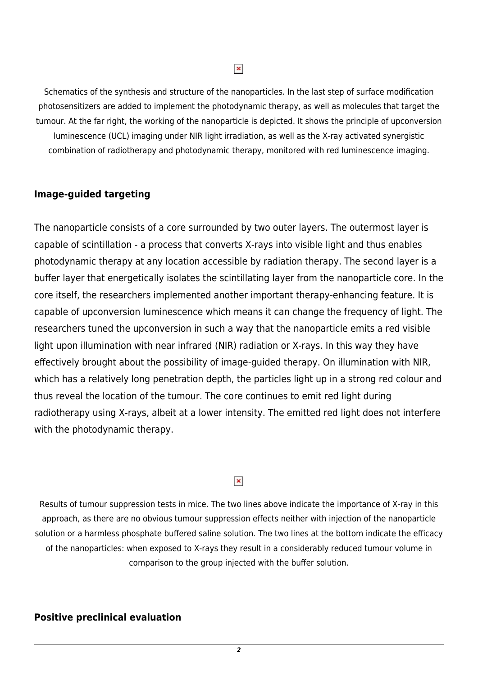$\pmb{\times}$ 

Schematics of the synthesis and structure of the nanoparticles. In the last step of surface modification photosensitizers are added to implement the photodynamic therapy, as well as molecules that target the tumour. At the far right, the working of the nanoparticle is depicted. It shows the principle of upconversion luminescence (UCL) imaging under NIR light irradiation, as well as the X-ray activated synergistic combination of radiotherapy and photodynamic therapy, monitored with red luminescence imaging.

#### **Image-guided targeting**

The nanoparticle consists of a core surrounded by two outer layers. The outermost layer is capable of scintillation - a process that converts X-rays into visible light and thus enables photodynamic therapy at any location accessible by radiation therapy. The second layer is a buffer layer that energetically isolates the scintillating layer from the nanoparticle core. In the core itself, the researchers implemented another important therapy-enhancing feature. It is capable of upconversion luminescence which means it can change the frequency of light. The researchers tuned the upconversion in such a way that the nanoparticle emits a red visible light upon illumination with near infrared (NIR) radiation or X-rays. In this way they have effectively brought about the possibility of image-guided therapy. On illumination with NIR, which has a relatively long penetration depth, the particles light up in a strong red colour and thus reveal the location of the tumour. The core continues to emit red light during radiotherapy using X-rays, albeit at a lower intensity. The emitted red light does not interfere with the photodynamic therapy.

### $\pmb{\times}$

Results of tumour suppression tests in mice. The two lines above indicate the importance of X-ray in this approach, as there are no obvious tumour suppression effects neither with injection of the nanoparticle solution or a harmless phosphate buffered saline solution. The two lines at the bottom indicate the efficacy of the nanoparticles: when exposed to X-rays they result in a considerably reduced tumour volume in comparison to the group injected with the buffer solution.

#### **Positive preclinical evaluation**

*2*